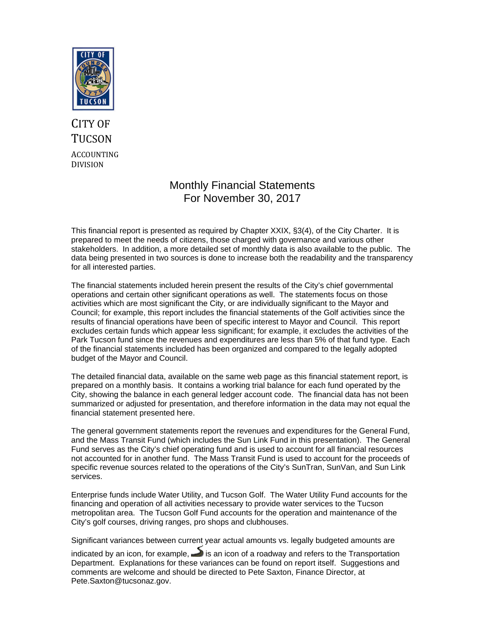

## CITY OF **TUCSON** ACCOUNTING DIVISION

### Monthly Financial Statements For November 30, 2017

This financial report is presented as required by Chapter XXIX, §3(4), of the City Charter. It is prepared to meet the needs of citizens, those charged with governance and various other stakeholders. In addition, a more detailed set of monthly data is also available to the public. The data being presented in two sources is done to increase both the readability and the transparency for all interested parties.

The financial statements included herein present the results of the City's chief governmental operations and certain other significant operations as well. The statements focus on those activities which are most significant the City, or are individually significant to the Mayor and Council; for example, this report includes the financial statements of the Golf activities since the results of financial operations have been of specific interest to Mayor and Council. This report excludes certain funds which appear less significant; for example, it excludes the activities of the Park Tucson fund since the revenues and expenditures are less than 5% of that fund type. Each of the financial statements included has been organized and compared to the legally adopted budget of the Mayor and Council.

The detailed financial data, available on the same web page as this financial statement report, is prepared on a monthly basis. It contains a working trial balance for each fund operated by the City, showing the balance in each general ledger account code. The financial data has not been summarized or adjusted for presentation, and therefore information in the data may not equal the financial statement presented here.

The general government statements report the revenues and expenditures for the General Fund, and the Mass Transit Fund (which includes the Sun Link Fund in this presentation). The General Fund serves as the City's chief operating fund and is used to account for all financial resources not accounted for in another fund. The Mass Transit Fund is used to account for the proceeds of specific revenue sources related to the operations of the City's SunTran, SunVan, and Sun Link services.

Enterprise funds include Water Utility, and Tucson Golf. The Water Utility Fund accounts for the financing and operation of all activities necessary to provide water services to the Tucson metropolitan area. The Tucson Golf Fund accounts for the operation and maintenance of the City's golf courses, driving ranges, pro shops and clubhouses.

Significant variances between current year actual amounts vs. legally budgeted amounts are

indicated by an icon, for example,  $\rightarrow$  is an icon of a roadway and refers to the Transportation Department. Explanations for these variances can be found on report itself. Suggestions and comments are welcome and should be directed to Pete Saxton, Finance Director, at Pete.Saxton@tucsonaz.gov.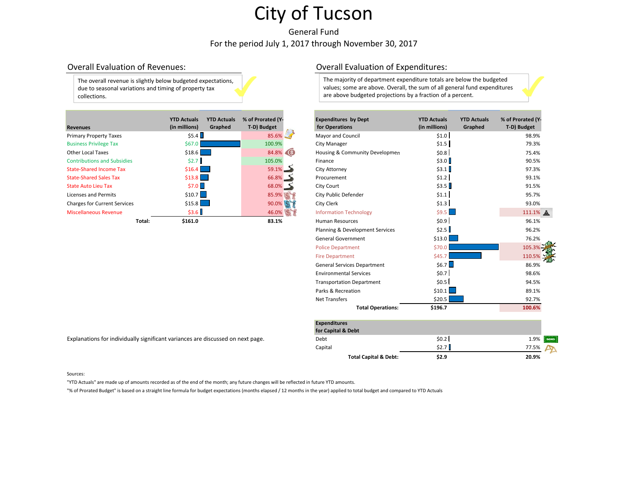General Fund For the period July 1, 2017 through November 30, 2017

### Overall Evaluation

The overall revenue is slightly below budgeted expectations, due to seasonal variations and timing of property tax collections.

| <b>Revenues</b>                     |        | <b>YTD Actuals</b><br>(in millions) | <b>YTD Actuals</b><br>Graphed                                                                                         | % of Prorated (Y-<br>T-D) Budget |       | <b>Expenditures by Dept</b><br>for Operations | <b>YTD Actuals</b><br>(in millions) | <b>YTD Actuals</b><br>Graphed | % of Prorated (Y<br>T-D) Budget |
|-------------------------------------|--------|-------------------------------------|-----------------------------------------------------------------------------------------------------------------------|----------------------------------|-------|-----------------------------------------------|-------------------------------------|-------------------------------|---------------------------------|
| <b>Primary Property Taxes</b>       |        | \$5.4                               |                                                                                                                       | $85.6\%$                         |       | Mayor and Council                             | \$1.0                               |                               | 98.9%                           |
| <b>Business Privilege Tax</b>       |        | \$67.0                              |                                                                                                                       | 100.9%                           |       | City Manager                                  | \$1.5                               |                               | 79.3%                           |
| <b>Other Local Taxes</b>            |        | \$18.6                              | <b>Service Service</b>                                                                                                |                                  | 84.8% | Housing & Community Developmen                | \$0.8                               |                               | 75.4%                           |
| <b>Contributions and Subsidies</b>  |        | \$2.7                               |                                                                                                                       | 105.0%                           |       | Finance                                       | \$3.0                               |                               | 90.5%                           |
| <b>State-Shared Income Tax</b>      |        | \$16.4                              | <b>Contract Contract Contract Contract Contract Contract Contract Contract Contract Contract Contract Contract Co</b> | 59.1%                            |       | City Attorney                                 | \$3.1                               |                               | 97.3%                           |
| <b>State-Shared Sales Tax</b>       |        | $$13.8$                             |                                                                                                                       | $66.8\%$ $\Box$                  |       | Procurement                                   | \$1.2                               |                               | 93.1%                           |
| <b>State Auto Lieu Tax</b>          |        | \$7.0                               |                                                                                                                       | $68.0\%$ $\rightarrow$           |       | City Court                                    | \$3.5                               |                               | 91.5%                           |
| Licenses and Permits                |        | \$10.7                              |                                                                                                                       |                                  | 85.9% | City Public Defender                          | \$1.1                               |                               | 95.7%                           |
| <b>Charges for Current Services</b> |        | \$15.8                              |                                                                                                                       |                                  | 90.0% | City Clerk                                    | \$1.3                               |                               | 93.0%                           |
| <b>Miscellaneous Revenue</b>        |        | \$3.6                               |                                                                                                                       |                                  | 46.0% | <b>Information Technology</b>                 | \$9.5                               |                               | 111.1%                          |
|                                     | Total: | \$161.0                             |                                                                                                                       | 83.1%                            |       | <b>Human Resources</b>                        | \$0.9                               |                               | 96.1%                           |

Explanations for individually significant variances are discussed on next page.

### Overall Evaluation of Expenditures:

The majority of department expenditure totals are below the budgeted values; some are above. Overall, the sum of all general fund expenditures are above budgeted projections by <sup>a</sup> fraction of <sup>a</sup> percent.

| nues                     | <b>YTD Actuals</b><br>(in millions) | <b>YTD Actuals</b><br>Graphed | % of Prorated (Y-<br>T-D) Budget           | <b>Expenditures by Dept</b><br>for Operations | <b>YTD Actuals</b><br>(in millions) | <b>YTD Actuals</b><br>Graphed | % of Prorated (Y-<br>T-D) Budget |
|--------------------------|-------------------------------------|-------------------------------|--------------------------------------------|-----------------------------------------------|-------------------------------------|-------------------------------|----------------------------------|
| ary Property Taxes       | \$5.4                               |                               | $85.6\%$                                   | <b>Mayor and Council</b>                      | \$1.0                               |                               | 98.9%                            |
| <b>ess Privilege Tax</b> | \$67.0\$                            |                               | 100.9%                                     | <b>City Manager</b>                           | \$1.5                               |                               | 79.3%                            |
| r Local Taxes            | \$18.6                              |                               | 84.8%                                      | Housing & Community Developmen                | \$0.8                               |                               | 75.4%                            |
| ributions and Subsidies  | \$2.7                               |                               | 105.0%                                     | Finance                                       | \$3.0                               |                               | 90.5%                            |
| -Shared Income Tax       | \$16.4\$                            |                               | 59.1%                                      | City Attorney                                 | \$3.1                               |                               | 97.3%                            |
| -Shared Sales Tax        | \$13.8                              |                               | 66.8%                                      | Procurement                                   | \$1.2                               |                               | 93.1%                            |
| <b>Auto Lieu Tax</b>     | \$7.0                               |                               | $68.0\%$ $\frac{\phantom{0}}{\phantom{0}}$ | City Court                                    | \$3.5                               |                               | 91.5%                            |
| ses and Permits          | $$10.7$ $\Box$                      |                               | 85.9%                                      | City Public Defender                          | \$1.1                               |                               | 95.7%                            |
| ges for Current Services | \$15.8                              |                               | 90.0%                                      | City Clerk                                    | \$1.3                               |                               | 93.0%                            |
| ellaneous Revenue        | \$3.6                               |                               | 46.0%                                      | <b>Information Technology</b>                 | \$9.5                               |                               | 111.1%                           |
| Total:                   | \$161.0                             |                               | 83.1%                                      | <b>Human Resources</b>                        | \$0.9                               |                               | 96.1%                            |
|                          |                                     |                               |                                            | Planning & Development Services               | \$2.5                               |                               | 96.2%                            |
|                          |                                     |                               |                                            | <b>General Government</b>                     | \$13.0                              |                               | 76.2%                            |
|                          |                                     |                               |                                            | <b>Police Department</b>                      | \$70.0                              |                               | 105.3%                           |
|                          |                                     |                               |                                            | <b>Fire Department</b>                        | \$45.7                              |                               | 110.5%                           |
|                          |                                     |                               |                                            | <b>General Services Department</b>            | \$6.7                               |                               | 86.9%                            |
|                          |                                     |                               |                                            | <b>Environmental Services</b>                 | \$0.7                               |                               | 98.6%                            |
|                          |                                     |                               |                                            | <b>Transportation Department</b>              | \$0.5                               |                               | 94.5%                            |
|                          |                                     |                               |                                            | Parks & Recreation                            | \$10.1                              |                               | 89.1%                            |
|                          |                                     |                               |                                            | <b>Net Transfers</b>                          | \$20.5                              |                               | 92.7%                            |
|                          |                                     |                               |                                            | <b>Total Operations:</b>                      | \$196.7                             |                               | 100.6%                           |

| <b>Expenditures</b>              |       |                     |
|----------------------------------|-------|---------------------|
| for Capital & Debt               |       |                     |
| Debt                             | \$0.2 | 1.9%<br><b>BOND</b> |
| Capital                          | \$2.7 | 77.5%               |
| <b>Total Capital &amp; Debt:</b> | \$2.9 | 20.9%               |

Sources:

"YTD Actuals" are made up of amounts recorded as of the end of the month; any future changes will be reflected in future YTD amounts.

"% of Prorated Budget" is based on <sup>a</sup> straight line formula for budget expectations (months elapsed / 12 months in the year) applied to total budget and compared to YTD Actuals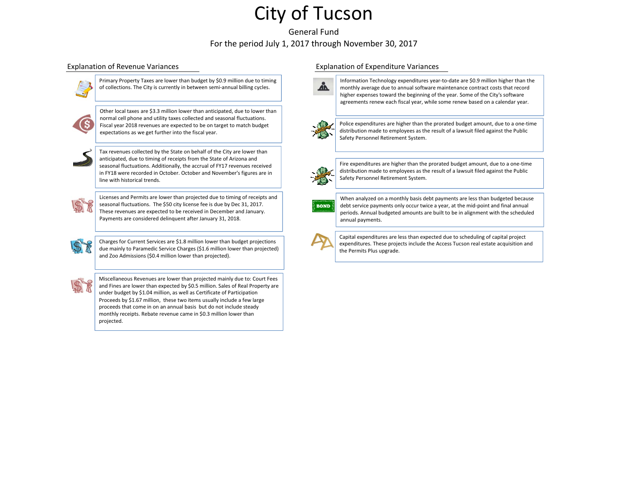General FundFor the period July 1, 2017 through November 30, 2017



Primary Property Taxes are lower than budget by \$0.9 million due to timing of collections. The City is currently in between semi‐annual billing cycles.



Other local taxes are \$3.3 million lower than anticipated, due to lower than normal cell phone and utility taxes collected and seasonal fluctuations. Fiscal year 2018 revenues are expected to be on target to match budget expectations as we get further into the fiscal year.



Tax revenues collected by the State on behalf of the City are lower than anticipated, due to timing of receipts from the State of Arizona and seasonal fluctuations. Additionally, the accrual of FY17 revenues received in FY18 were recorded in October. October and November's figures are in line with historical trends.

Licenses and Permits are lower than projected due to timing of receipts and seasonal fluctuations. The \$50 city license fee is due by Dec 31, 2017. These revenues are expected to be received in December and January. Payments are considered delinquent after January 31, 2018.



Charges for Current Services are \$1.8 million lower than budget projections due mainly to Paramedic Service Charges (\$1.6 million lower than projected) and Zoo Admissions (\$0.4 million lower than projected).



Miscellaneous Revenues are lower than projected mainly due to: Court Fees and Fines are lower than expected by \$0.5 million. Sales of Real Property are under budget by \$1.04 million, as well as Certificate of Participation Proceeds by \$1.67 million, these two items usually include <sup>a</sup> few large proceeds that come in on an annual basis but do not include steady monthly receipts. Rebate revenue came in \$0.3 million lower than projected.

### Explanation of Revenue Variances Explanation of Expenditure Variances



Information Technology expenditures year‐to‐date are \$0.9 million higher than the monthly average due to annual software maintenance contract costs that record higher expenses toward the beginning of the year. Some of the City's software agreements renew each fiscal year, while some renew based on <sup>a</sup> calendar year.



Police expenditures are higher than the prorated budget amount, due to <sup>a</sup> one‐time distribution made to employees as the result of <sup>a</sup> lawsuit filed against the Public Safety Personnel Retirement System.

Fire expenditures are higher than the prorated budget amount, due to <sup>a</sup> one‐time distribution made to employees as the result of <sup>a</sup> lawsuit filed against the Public Safety Personnel Retirement System.



When analyzed on <sup>a</sup> monthly basis debt payments are less than budgeted because debt service payments only occur twice <sup>a</sup> year, at the mid‐point and final annual periods. Annual budgeted amounts are built to be in alignment with the scheduled annual payments.



Capital expenditures are less than expected due to scheduling of capital project expenditures. These projects include the Access Tucson real estate acquisition and the Permits Plus upgrade.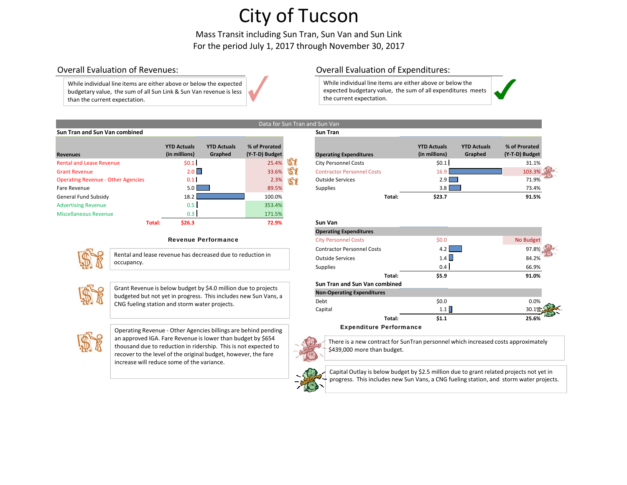Mass Transit including Sun Tran, Sun Van and Sun Link For the period July 1, 2017 through November 30, 2017

Data for Sun Tran and Sun Van

### Overall Evaluation

While individual line items are either above or below the expected budgetary value, the sum of all Sun Link & Sun Van revenue is less than the current expectation.

### Overall Evaluation of Expenditures:

While individual line items are either above or below the expected budgetary value, the sum of all expenditures meets the current expectation.



### **Sun Tran and Sun Van combined Sun Tran**

|                                           |        | <b>YTD Actuals</b> | <b>YTD Actuals</b> | % of Prorated  |    |                                   |        | <b>YTD Actuals</b> | <b>YTD Actuals</b> | % of Prorated  |
|-------------------------------------------|--------|--------------------|--------------------|----------------|----|-----------------------------------|--------|--------------------|--------------------|----------------|
| <b>Revenues</b>                           |        | (in millions)      | Graphed            | (Y-T-D) Budget |    | <b>Operating Expenditures</b>     |        | (in millions)      | Graphed            | (Y-T-D) Budget |
| <b>Rental and Lease Revenue</b>           |        | \$0.1              |                    | 25.4%          |    | <b>City Personnel Costs</b>       |        | \$0.1              |                    | 31.1%          |
| <b>Grant Revenue</b>                      |        | 2.0                |                    | 33.6%          |    | <b>Contractor Personnel Costs</b> |        | 16.9               |                    | 103.3%         |
| <b>Operating Revenue - Other Agencies</b> |        | 0.1                |                    | 2.3%           | 58 | <b>Outside Services</b>           |        | 2.9                |                    | 71.9%          |
| Fare Revenue                              |        | 5.0 <sub>1</sub>   |                    | 89.5%          |    | Supplies                          |        | 3.8                |                    | 73.4%          |
| General Fund Subsidy                      |        | 18.2               |                    | 100.0%         |    |                                   | Total: | \$23.7             |                    | 91.5%          |
| <b>Advertising Revenue</b>                |        | 0.5                |                    | 353.4%         |    |                                   |        |                    |                    |                |
| Miscellaneous Revenue                     |        | 0.3                |                    | 171.5%         |    |                                   |        |                    |                    |                |
|                                           | Total: | \$26.3             |                    | 72.9%          |    | Sun Van                           |        |                    |                    |                |

### Revenue Performance



Rental and lease revenue has decreased due to reduction in occupancy.



Grant Revenue is below budget by \$4.0 million due to projects budgeted but not yet in progress. This includes new Sun Vans, <sup>a</sup> CNG fueling station and storm water projects.



Operating Revenue ‐ Other Agencies billings are behind pending an approved IGA. Fare Revenue is lower than budget by \$654 thousand due to reduction in ridership. This is not expected to recover to the level of the original budget, however, the fare increase will reduce some of the variance.

|                                 | <b>YTD Actuals</b><br>(in millions) | <b>YTD Actuals</b><br>Graphed | % of Prorated<br>(Y-T-D) Budget |    | <b>Operating Expenditures</b>     | <b>YTD Actuals</b><br>(in millions) | <b>YTD Actuals</b><br>Graphed | % of Prorated<br>(Y-T-D) Budget |  |
|---------------------------------|-------------------------------------|-------------------------------|---------------------------------|----|-----------------------------------|-------------------------------------|-------------------------------|---------------------------------|--|
| d Lease Revenue                 | \$0.1                               |                               | 25.4%                           | 57 | <b>City Personnel Costs</b>       | \$0.1                               |                               | 31.1%                           |  |
| <i>r</i> enue                   | 2.0                                 |                               | 33.6%                           | 58 | <b>Contractor Personnel Costs</b> | 16                                  |                               | 103.3%                          |  |
| <b>Revenue - Other Agencies</b> | 0.1                                 |                               | 2.3%                            | 58 | <b>Outside Services</b>           | $2.9$ $\blacksquare$                |                               | 71.9%                           |  |
| nue:                            | 5.0 I                               |                               | 89.5%                           |    | Supplies                          | $3.8\text{ l}$                      |                               | 73.4%                           |  |
| und Subsidy                     | 18.2                                |                               | 100.0%                          |    | Total:                            | \$23.7                              |                               | 91.5%                           |  |

## **Total: \$26.3 72.9% Sun Van**

| <b>Operating Expenditures</b>     |         |           |
|-----------------------------------|---------|-----------|
| <b>City Personnel Costs</b>       | \$0.0   | No Budget |
| <b>Contractor Personnel Costs</b> | 4.2     | 97.8%     |
| <b>Outside Services</b>           | 1.4     | 84.2%     |
| <b>Supplies</b>                   | 0.4     | 66.9%     |
| Total:                            | \$5.9   | 91.0%     |
| Sun Tran and Sun Van combined     |         |           |
| <b>Non-Operating Expenditures</b> |         |           |
| Debt                              | \$0.0\$ | 0.0%      |
| Capital                           | 1.1     | 30.1%     |
| Total:                            | 51.1    | 25.6%     |
| Evnanditura Darformanca           |         |           |

#### Expenditure Performance

There is <sup>a</sup> new contract for SunTran personnel which increased costs approximately \$439,000 more than budget.



Capital Outlay is below budget by \$2.5 million due to grant related projects not yet in progress. This includes new Sun Vans, <sup>a</sup> CNG fueling station, and storm water projects.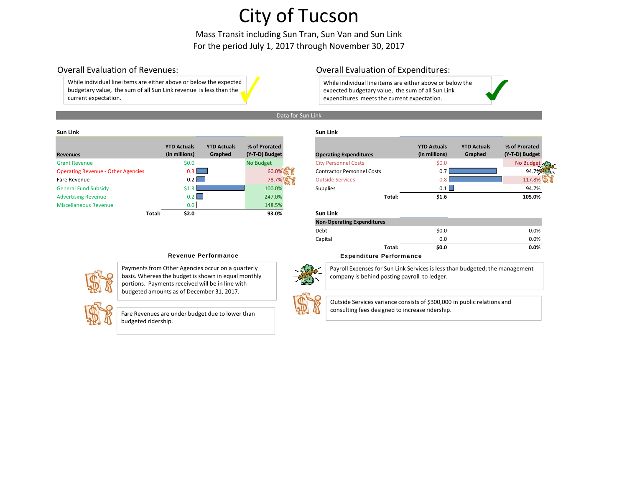Mass Transit including Sun Tran, Sun Van and Sun Link For the period July 1, 2017 through November 30, 2017

### Overall Evaluation

While individual line items are either above or below the expected budgetary value, the sum of all Sun Link revenue is less than the current expectation.

### Overall Evaluation of Expenditures:

While individual line items are either above or below the expected budgetary value, the sum of all Sun Link expenditures meets the current expectation.



#### **SunLink Sun Link**

| <b>Revenues</b>                           |        | <b>YTD Actuals</b><br>(in millions) | <b>YTD Actuals</b><br>Graphed | % of Prorated<br>(Y-T-D) Budget |                         | <b>Operating Expenditures</b>     | <b>YTD Actuals</b><br>(in millions) | <b>YTD Actuals</b><br>Graphed | % of Prorated<br>(Y-T-D) Budget |
|-------------------------------------------|--------|-------------------------------------|-------------------------------|---------------------------------|-------------------------|-----------------------------------|-------------------------------------|-------------------------------|---------------------------------|
| <b>Grant Revenue</b>                      |        | \$0.0\$                             |                               | No Budget                       |                         | <b>City Personnel Costs</b>       | \$0.0\$                             |                               | No Budget                       |
| <b>Operating Revenue - Other Agencies</b> |        | 0.3                                 |                               | 60.0%                           |                         | <b>Contractor Personnel Costs</b> | 0.7                                 |                               | 94.7%                           |
| Fare Revenue                              |        | $0.2$                               |                               | 78.7%                           | <b>Outside Services</b> |                                   | 0.ጸ                                 |                               | 117.8%                          |
| <b>General Fund Subsidy</b>               |        | \$1.3                               |                               | 100.0%                          | <b>Supplies</b>         |                                   | 0.1                                 |                               | 94.7%                           |
| <b>Advertising Revenue</b>                |        | $0.2$ $\Box$                        |                               | 247.0%                          |                         | Total:                            | \$1.6                               |                               | 105.0%                          |
| <b>Miscellaneous Revenue</b>              |        | 0.0 <sub>1</sub>                    |                               | 148.5%                          |                         |                                   |                                     |                               |                                 |
|                                           | Total: | \$2.0                               |                               | 93.0%                           | Sun Link                |                                   |                                     |                               |                                 |

|                                | <b>YTD Actuals</b> | <b>YTD Actuals</b> | % of Prorated  |                                   | <b>YTD Actuals</b> | <b>YTD Actuals</b> | % of Prorated  |
|--------------------------------|--------------------|--------------------|----------------|-----------------------------------|--------------------|--------------------|----------------|
| nues                           | (in millions)      | Graphed            | (Y-T-D) Budget | <b>Operating Expenditures</b>     | (in millions)      | Graphed            | (Y-T-D) Budget |
| t Revenue                      | \$0.0              |                    | No Budget      | <b>City Personnel Costs</b>       | \$0.0              |                    | No Budget      |
| ating Revenue - Other Agencies | $0.3 \parallel$    |                    | 60.0%          | <b>Contractor Personnel Costs</b> |                    |                    | 94.7%          |
| Revenue                        | 0.2                |                    | 78.7%          | <b>Outside Services</b>           |                    |                    | 117.8%         |
| ral Fund Subsidy               |                    |                    | 100.0%         | Supplies                          | 0.1                |                    | 94.7%          |
| rtising Revenue                | 0.2 I              |                    | 247.0%         | Total:                            | \$1.6              |                    | 105.0%         |

### **Total: \$2.0 93.0% Sun Link**

| \$0.0 | 0.0% |
|-------|------|
| 0.0   | 0.0% |
| \$0.0 | 0.0% |
|       |      |

### Revenue Performance **Expenditure Performance**



Payments from Other Agencies occur on <sup>a</sup> quarterly basis. Whereas the budget is shown in equal monthly portions. Payments received will be in line with budgeted amounts as of December 31, 2017.



Fare Revenues are under budget due to lower than budgeted ridership.

Payroll Expenses for Sun Link Services is less than budgeted; the management

company is behind posting payroll to ledger.



Outside Services variance consists of \$300,000 in public relations and consulting fees designed to increase ridership.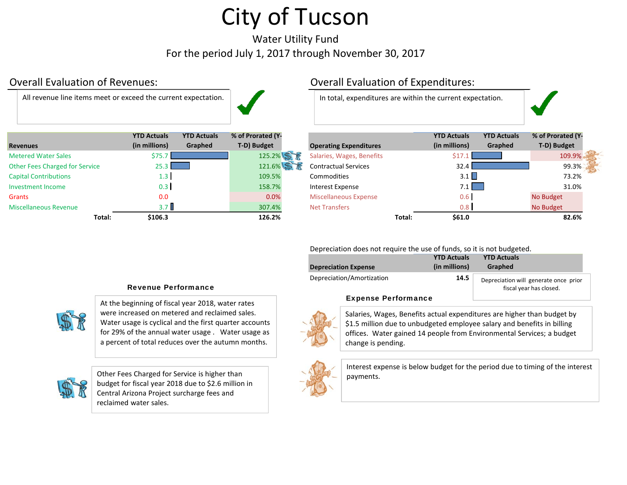Water Utility Fund For the period July 1, 2017 through November 30, 2017

### Overall Evaluation

All revenue



|                                | <b>YTD Actuals</b>                | <b>YTD Actuals</b> | % of Prorated (Y- |                               |        | <b>YTD Actuals</b> | <b>YTD Actuals</b> | % of Prorated (Y |
|--------------------------------|-----------------------------------|--------------------|-------------------|-------------------------------|--------|--------------------|--------------------|------------------|
| <b>Revenues</b>                | (in millions)                     | Graphed            | T-D) Budget       | <b>Operating Expenditures</b> |        | (in millions)      | Graphed            | T-D) Budget      |
| <b>Metered Water Sales</b>     | \$75.7                            |                    | 125.2%            | Salaries, Wages, Benefits     |        | \$17               |                    | 109.9%           |
| Other Fees Charged for Service | $25.3 \textcolor{white}{\bullet}$ |                    | 121.6%            | <b>Contractual Services</b>   |        | 32.4               |                    | 99.3%            |
| <b>Capital Contributions</b>   | $1.3 \text{ }$                    |                    | 109.5%            | Commodities                   |        | 3.1                |                    | 73.2%            |
| Investment Income              | 0.3                               |                    | 158.7%            | Interest Expense              |        | 7.1                |                    | 31.0%            |
| Grants                         | 0.0                               |                    | 0.0%              | <b>Miscellaneous Expense</b>  |        | 0.6                |                    | No Budget        |
| <b>Miscellaneous Revenue</b>   | 3.7 <sub>II</sub>                 |                    | 307.4%            | <b>Net Transfers</b>          |        | 0.8                |                    | No Budget        |
| Total:                         | \$106.3                           |                    | 126.2%            |                               | Total: | \$61.0             |                    | 82.6%            |

### Overall Evaluation of Expenditures:

In total, expenditures are within the current expectation.

|                         | <b>YTD Actuals</b> | <b>YTD Actuals</b> | % of Prorated (Y- |                               |        | <b>YTD Actuals</b> | <b>YTD Actuals</b> | % of Prorated (Y- |
|-------------------------|--------------------|--------------------|-------------------|-------------------------------|--------|--------------------|--------------------|-------------------|
| es.                     | (in millions)      | Graphed            | T-D) Budget       | <b>Operating Expenditures</b> |        | (in millions)      | Graphed            | T-D) Budget       |
| d Water Sales           | \$75.              |                    | 125.2%            | Salaries, Wages, Benefits     |        | \$17.              |                    | 109.9%            |
| ees Charged for Service | 25.3               |                    | 121.6%            | <b>Contractual Services</b>   |        | 32.4               |                    | 99.3%             |
| <b>Contributions</b>    | 1.3                |                    | 109.5%            | Commodities                   |        | 3.1                |                    | 73.2%             |
| ent Income              | 0.3                |                    | 158.7%            | Interest Expense              |        | 7.1                |                    | 31.0%             |
|                         | 0.0                |                    | 0.0%              | <b>Miscellaneous Expense</b>  |        | 0.6                |                    | No Budget         |
| aneous Revenue          | 3.7 <sub>1</sub>   |                    | 307.4%            | <b>Net Transfers</b>          |        | 0.8                |                    | No Budget         |
| Total:                  | \$106.3            |                    | 126.2%            |                               | Total: | \$61.0             |                    | 82.6%             |

Depreciation does not require the use of funds, so it is not budgeted.

| <b>Depreciation Expense</b> | <b>YTD Actuals</b><br>(in millions) | <b>YTD Actuals</b><br><b>Graphed</b>                             |
|-----------------------------|-------------------------------------|------------------------------------------------------------------|
| Depreciation/Amortization   | 14.5                                | Depreciation will generate once prior<br>fiscal year has closed. |

### Expense Performance

Salaries, Wages, Benefits actual expenditures are higher than budget by \$1.5 million due to unbudgeted employee salary and benefits in billing offices. Water gained 14 people from Environmental Services; <sup>a</sup> budget change is pending.



Interest expense is below budget for the period due to timing of the interest

### Revenue Performance



At the beginning of fiscal year 2018, water rates were increased on metered and reclaimed sales. Water usage is cyclical and the first quarter accounts for 29% of the annual water usage . Water usage as a percent of total reduces over the autumn months.



Other Fees Charged for Service is higher than **Figure 1 as a service is higher than** budget for fiscal year 2018 due to \$2.6 million in Central Arizona Project surcharge fees and reclaimed water sales.

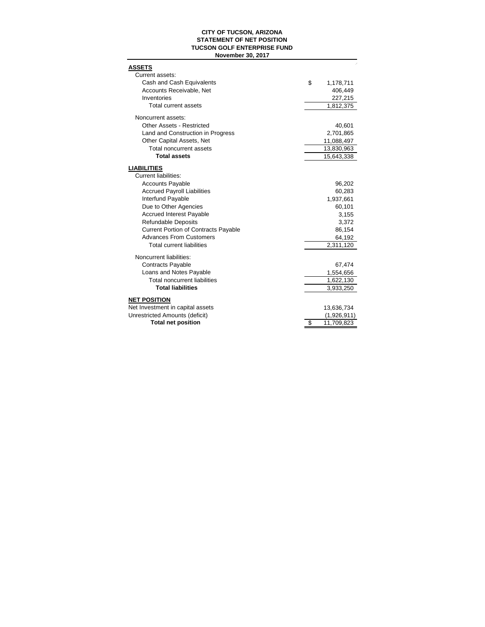### **CITY OF TUCSON, ARIZONA STATEMENT OF NET POSITION TUCSON GOLF ENTERPRISE FUND November 30, 2017**

| <b>ASSETS</b>                                           |                  |
|---------------------------------------------------------|------------------|
| Current assets:                                         |                  |
| Cash and Cash Equivalents                               | \$<br>1,178,711  |
| Accounts Receivable, Net                                | 406,449          |
| Inventories                                             | 227,215          |
| <b>Total current assets</b>                             | 1,812,375        |
| Noncurrent assets:                                      |                  |
| Other Assets - Restricted                               | 40,601           |
| Land and Construction in Progress                       | 2,701,865        |
| Other Capital Assets, Net                               | 11,088,497       |
| Total noncurrent assets                                 | 13,830,963       |
| <b>Total assets</b>                                     | 15,643,338       |
|                                                         |                  |
| <b>LIABILITIES</b><br><b>Current liabilities:</b>       |                  |
| <b>Accounts Payable</b>                                 |                  |
| <b>Accrued Payroll Liabilities</b>                      | 96,202<br>60,283 |
| Interfund Payable                                       | 1,937,661        |
| Due to Other Agencies                                   | 60,101           |
| <b>Accrued Interest Payable</b>                         | 3,155            |
| <b>Refundable Deposits</b>                              |                  |
| <b>Current Portion of Contracts Payable</b>             | 3,372<br>86,154  |
| <b>Advances From Customers</b>                          | 64,192           |
| <b>Total current liabilities</b>                        | 2,311,120        |
|                                                         |                  |
| Noncurrent liabilities:                                 |                  |
| <b>Contracts Payable</b>                                | 67,474           |
| Loans and Notes Payable                                 | 1,554,656        |
| <b>Total noncurrent liabilities</b>                     | 1,622,130        |
| <b>Total liabilities</b>                                | 3,933,250        |
|                                                         |                  |
| <b>NET POSITION</b><br>Net Investment in capital assets | 13,636,734       |
| Unrestricted Amounts (deficit)                          | (1,926,911)      |
| <b>Total net position</b>                               | \$<br>11,709,823 |
|                                                         |                  |